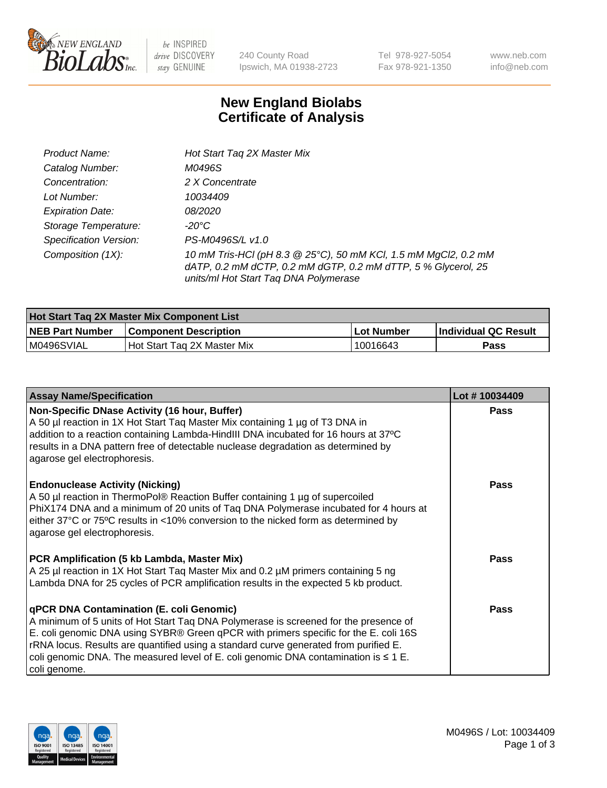

be INSPIRED drive DISCOVERY stay GENUINE

240 County Road Ipswich, MA 01938-2723 Tel 978-927-5054 Fax 978-921-1350 www.neb.com info@neb.com

## **New England Biolabs Certificate of Analysis**

| Product Name:                 | Hot Start Tag 2X Master Mix                                                                                                                                               |
|-------------------------------|---------------------------------------------------------------------------------------------------------------------------------------------------------------------------|
| Catalog Number:               | M0496S                                                                                                                                                                    |
| Concentration:                | 2 X Concentrate                                                                                                                                                           |
| Lot Number:                   | 10034409                                                                                                                                                                  |
| <b>Expiration Date:</b>       | <i>08/2020</i>                                                                                                                                                            |
| Storage Temperature:          | -20°C                                                                                                                                                                     |
| <b>Specification Version:</b> | PS-M0496S/L v1.0                                                                                                                                                          |
| Composition (1X):             | 10 mM Tris-HCl (pH 8.3 @ 25°C), 50 mM KCl, 1.5 mM MgCl2, 0.2 mM<br>dATP, 0.2 mM dCTP, 0.2 mM dGTP, 0.2 mM dTTP, 5 % Glycerol, 25<br>units/ml Hot Start Taq DNA Polymerase |

| Hot Start Taq 2X Master Mix Component List |                              |             |                      |  |
|--------------------------------------------|------------------------------|-------------|----------------------|--|
| <b>NEB Part Number</b>                     | <b>Component Description</b> | ∣Lot Number | Individual QC Result |  |
| M0496SVIAL                                 | Hot Start Tag 2X Master Mix  | 10016643    | Pass                 |  |

| <b>Assay Name/Specification</b>                                                                                                                                                                                                                                                                                                                                                                                              | Lot #10034409 |
|------------------------------------------------------------------------------------------------------------------------------------------------------------------------------------------------------------------------------------------------------------------------------------------------------------------------------------------------------------------------------------------------------------------------------|---------------|
| Non-Specific DNase Activity (16 hour, Buffer)<br>A 50 µl reaction in 1X Hot Start Taq Master Mix containing 1 µg of T3 DNA in<br>addition to a reaction containing Lambda-HindIII DNA incubated for 16 hours at 37°C<br>results in a DNA pattern free of detectable nuclease degradation as determined by<br>agarose gel electrophoresis.                                                                                    | <b>Pass</b>   |
| <b>Endonuclease Activity (Nicking)</b><br>A 50 µl reaction in ThermoPol® Reaction Buffer containing 1 µg of supercoiled<br>PhiX174 DNA and a minimum of 20 units of Taq DNA Polymerase incubated for 4 hours at<br>either 37°C or 75°C results in <10% conversion to the nicked form as determined by<br>agarose gel electrophoresis.                                                                                        | <b>Pass</b>   |
| PCR Amplification (5 kb Lambda, Master Mix)<br>A 25 µl reaction in 1X Hot Start Taq Master Mix and 0.2 µM primers containing 5 ng<br>Lambda DNA for 25 cycles of PCR amplification results in the expected 5 kb product.                                                                                                                                                                                                     | Pass          |
| qPCR DNA Contamination (E. coli Genomic)<br>A minimum of 5 units of Hot Start Taq DNA Polymerase is screened for the presence of<br>E. coli genomic DNA using SYBR® Green qPCR with primers specific for the E. coli 16S<br>rRNA locus. Results are quantified using a standard curve generated from purified E.<br>coli genomic DNA. The measured level of E. coli genomic DNA contamination is $\leq 1$ E.<br>coli genome. | Pass          |

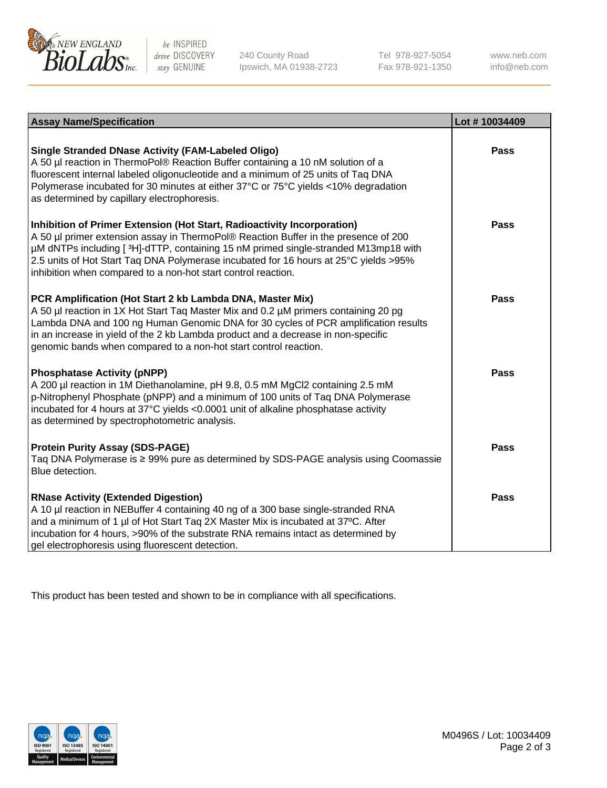

be INSPIRED drive DISCOVERY stay GENUINE

240 County Road Ipswich, MA 01938-2723 Tel 978-927-5054 Fax 978-921-1350 www.neb.com info@neb.com

| <b>Assay Name/Specification</b>                                                                                                                                                                                                                                                                                                                                                                                | Lot #10034409 |
|----------------------------------------------------------------------------------------------------------------------------------------------------------------------------------------------------------------------------------------------------------------------------------------------------------------------------------------------------------------------------------------------------------------|---------------|
| <b>Single Stranded DNase Activity (FAM-Labeled Oligo)</b><br>A 50 µl reaction in ThermoPol® Reaction Buffer containing a 10 nM solution of a<br>fluorescent internal labeled oligonucleotide and a minimum of 25 units of Taq DNA<br>Polymerase incubated for 30 minutes at either 37°C or 75°C yields <10% degradation<br>as determined by capillary electrophoresis.                                         | <b>Pass</b>   |
| Inhibition of Primer Extension (Hot Start, Radioactivity Incorporation)<br>A 50 µl primer extension assay in ThermoPol® Reaction Buffer in the presence of 200<br>µM dNTPs including [3H]-dTTP, containing 15 nM primed single-stranded M13mp18 with<br>2.5 units of Hot Start Taq DNA Polymerase incubated for 16 hours at 25°C yields > 95%<br>inhibition when compared to a non-hot start control reaction. | Pass          |
| PCR Amplification (Hot Start 2 kb Lambda DNA, Master Mix)<br>A 50 µl reaction in 1X Hot Start Taq Master Mix and 0.2 µM primers containing 20 pg<br>Lambda DNA and 100 ng Human Genomic DNA for 30 cycles of PCR amplification results<br>in an increase in yield of the 2 kb Lambda product and a decrease in non-specific<br>genomic bands when compared to a non-hot start control reaction.                | Pass          |
| <b>Phosphatase Activity (pNPP)</b><br>A 200 µl reaction in 1M Diethanolamine, pH 9.8, 0.5 mM MgCl2 containing 2.5 mM<br>p-Nitrophenyl Phosphate (pNPP) and a minimum of 100 units of Taq DNA Polymerase<br>incubated for 4 hours at 37°C yields <0.0001 unit of alkaline phosphatase activity<br>as determined by spectrophotometric analysis.                                                                 | Pass          |
| <b>Protein Purity Assay (SDS-PAGE)</b><br>Taq DNA Polymerase is ≥ 99% pure as determined by SDS-PAGE analysis using Coomassie<br>Blue detection.                                                                                                                                                                                                                                                               | <b>Pass</b>   |
| <b>RNase Activity (Extended Digestion)</b><br>A 10 µl reaction in NEBuffer 4 containing 40 ng of a 300 base single-stranded RNA<br>and a minimum of 1 µl of Hot Start Taq 2X Master Mix is incubated at 37°C. After<br>incubation for 4 hours, >90% of the substrate RNA remains intact as determined by<br>gel electrophoresis using fluorescent detection.                                                   | Pass          |

This product has been tested and shown to be in compliance with all specifications.